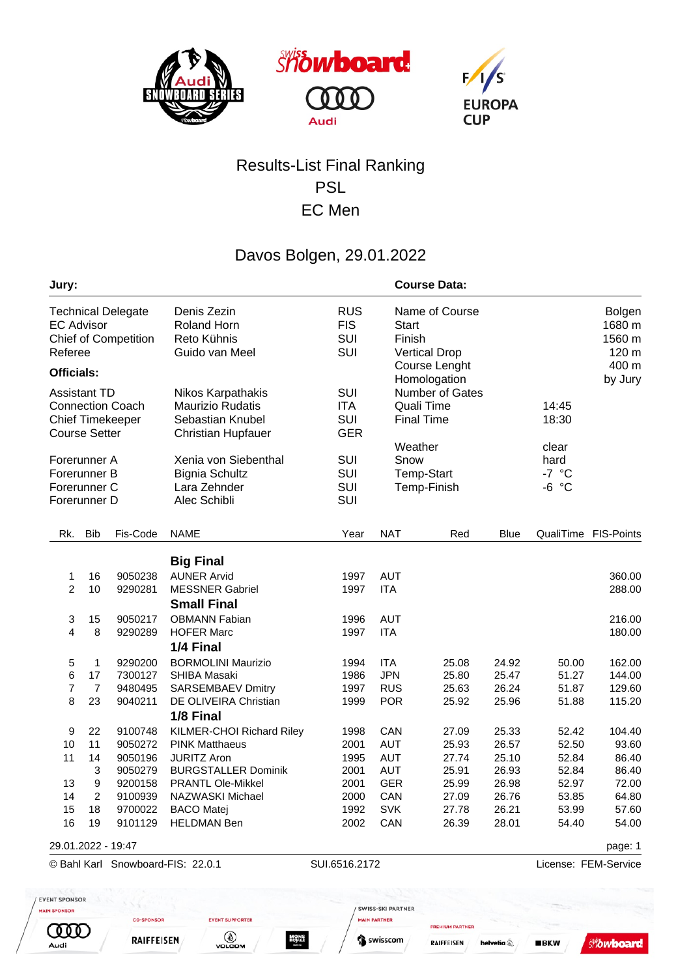





## Results-List Final Ranking PSL EC Men

## Davos Bolgen, 29.01.2022

| Jury:                                                                                             |                                |                                          |                                                                                                         |                                        |                                                      | <b>Course Data:</b>                                                |                                  |                                     |                                            |  |  |
|---------------------------------------------------------------------------------------------------|--------------------------------|------------------------------------------|---------------------------------------------------------------------------------------------------------|----------------------------------------|------------------------------------------------------|--------------------------------------------------------------------|----------------------------------|-------------------------------------|--------------------------------------------|--|--|
| <b>Technical Delegate</b><br><b>EC Advisor</b><br><b>Chief of Competition</b><br>Referee          |                                |                                          | Denis Zezin<br><b>Roland Horn</b><br>Reto Kühnis<br>Guido van Meel                                      | <b>RUS</b><br><b>FIS</b><br>SUI<br>SUI | Start<br>Finish                                      | Name of Course<br><b>Vertical Drop</b>                             |                                  |                                     | <b>Bolgen</b><br>1680 m<br>1560 m<br>120 m |  |  |
| <b>Officials:</b>                                                                                 |                                |                                          |                                                                                                         |                                        |                                                      | Course Lenght                                                      |                                  |                                     | 400 m                                      |  |  |
| <b>Assistant TD</b><br><b>Connection Coach</b><br><b>Chief Timekeeper</b><br><b>Course Setter</b> |                                |                                          | Nikos Karpathakis<br><b>Maurizio Rudatis</b><br>Sebastian Knubel<br><b>Christian Hupfauer</b>           | SUI<br><b>ITA</b><br>SUI<br><b>GER</b> |                                                      | Homologation<br>Number of Gates<br>Quali Time<br><b>Final Time</b> |                                  | 14:45<br>18:30                      | by Jury                                    |  |  |
| Forerunner A<br>Forerunner B<br>Forerunner C<br>Forerunner D                                      |                                |                                          | Xenia von Siebenthal<br><b>Bignia Schultz</b><br>Lara Zehnder<br>Alec Schibli                           | SUI<br>SUI<br>SUI<br>SUI               | Snow                                                 | Weather<br><b>Temp-Start</b><br>Temp-Finish                        |                                  | clear<br>hard<br>$-7 °C$<br>$-6 °C$ |                                            |  |  |
| Rk.                                                                                               | <b>Bib</b>                     | Fis-Code                                 | <b>NAME</b>                                                                                             | Year                                   | <b>NAT</b>                                           | Red                                                                | <b>Blue</b>                      |                                     | QualiTime FIS-Points                       |  |  |
|                                                                                                   |                                |                                          | <b>Big Final</b>                                                                                        |                                        |                                                      |                                                                    |                                  |                                     |                                            |  |  |
| 1<br>2                                                                                            | 16<br>10                       | 9050238<br>9290281                       | <b>AUNER Arvid</b><br><b>MESSNER Gabriel</b><br><b>Small Final</b>                                      | 1997<br>1997                           | <b>AUT</b><br><b>ITA</b>                             |                                                                    |                                  |                                     | 360.00<br>288.00                           |  |  |
| 3<br>4                                                                                            | 15<br>8                        | 9050217<br>9290289                       | <b>OBMANN Fabian</b><br><b>HOFER Marc</b><br>1/4 Final                                                  | 1996<br>1997                           | <b>AUT</b><br><b>ITA</b>                             |                                                                    |                                  |                                     | 216.00<br>180.00                           |  |  |
| 5<br>6<br>7<br>8                                                                                  | 1<br>17<br>7<br>23             | 9290200<br>7300127<br>9480495<br>9040211 | <b>BORMOLINI Maurizio</b><br><b>SHIBA Masaki</b><br><b>SARSEMBAEV Dmitry</b><br>DE OLIVEIRA Christian   | 1994<br>1986<br>1997<br>1999           | <b>ITA</b><br><b>JPN</b><br><b>RUS</b><br><b>POR</b> | 25.08<br>25.80<br>25.63<br>25.92                                   | 24.92<br>25.47<br>26.24<br>25.96 | 50.00<br>51.27<br>51.87<br>51.88    | 162.00<br>144.00<br>129.60<br>115.20       |  |  |
| 9<br>10<br>11                                                                                     | 22<br>11<br>14                 | 9100748<br>9050272<br>9050196            | 1/8 Final<br>KILMER-CHOI Richard Riley<br><b>PINK Matthaeus</b><br><b>JURITZ Aron</b>                   | 1998<br>2001<br>1995                   | CAN<br><b>AUT</b><br>AUT                             | 27.09<br>25.93<br>27.74                                            | 25.33<br>26.57<br>25.10          | 52.42<br>52.50<br>52.84             | 104.40<br>93.60<br>86.40                   |  |  |
| 13<br>14<br>15                                                                                    | 3<br>9<br>$\overline{2}$<br>18 | 9050279<br>9200158<br>9700022            | <b>BURGSTALLER Dominik</b><br><b>PRANTL Ole-Mikkel</b><br>9100939 NAZWASKI Michael<br><b>BACO Matej</b> | 2001<br>2001<br>1992                   | <b>AUT</b><br><b>GER</b><br>2000 CAN<br><b>SVK</b>   | 25.91<br>25.99<br>27.09<br>27.78                                   | 26.93<br>26.98<br>26.76<br>26.21 | 52.84<br>52.97<br>53.85<br>53.99    | 86.40<br>72.00<br>64.80<br>57.60           |  |  |
| 16                                                                                                | 19                             | 9101129                                  | <b>HELDMAN Ben</b>                                                                                      | 2002                                   | CAN                                                  | 26.39                                                              | 28.01                            | 54.40                               | 54.00                                      |  |  |
|                                                                                                   |                                | 29.01.2022 - 19:47                       |                                                                                                         |                                        |                                                      |                                                                    |                                  |                                     | page: 1                                    |  |  |
| © Bahl Karl Snowboard-FIS: 22.0.1<br><b>ENT SPONSOR</b>                                           |                                |                                          |                                                                                                         | SUI.6516.2172                          |                                                      |                                                                    |                                  |                                     | License: FEM-Service                       |  |  |

MAIN PARTNER

S swisscom

**PREMIUM PARTNER** 

helvetia<sup>4</sup>

**RAIFFEISEN** 

**EVENT SUPPORTER** 

VOLCOM

**MONS**<br>ROYLE

CO-SPONSOR

**RAIFFEISEN** 

**COOC** 

Audi

**Showboard**  $BKN$